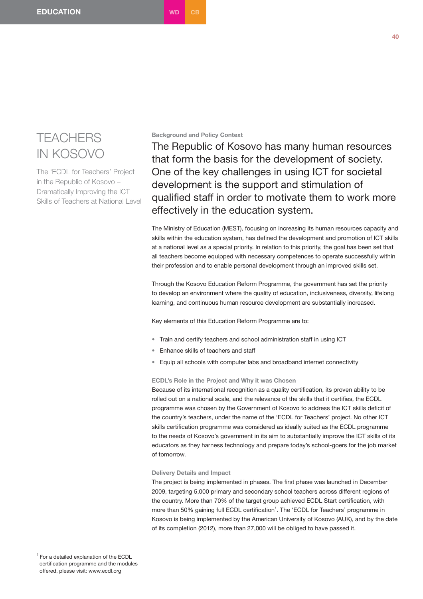# **TEACHERS** IN KOSOVO

The 'ECDL for Teachers' Project in the Republic of Kosovo – Dramatically Improving the ICT Skills of Teachers at National Level

## **Background and Policy Context**

The Republic of Kosovo has many human resources that form the basis for the development of society. One of the key challenges in using ICT for societal development is the support and stimulation of qualified staff in order to motivate them to work more effectively in the education system.

The Ministry of Education (MEST), focusing on increasing its human resources capacity and skills within the education system, has defined the development and promotion of ICT skills at a national level as a special priority. In relation to this priority, the goal has been set that all teachers become equipped with necessary competences to operate successfully within their profession and to enable personal development through an improved skills set.

Through the Kosovo Education Reform Programme, the government has set the priority to develop an environment where the quality of education, inclusiveness, diversity, lifelong learning, and continuous human resource development are substantially increased.

Key elements of this Education Reform Programme are to:

- Train and certify teachers and school administration staff in using ICT
- Enhance skills of teachers and staff
- Equip all schools with computer labs and broadband internet connectivity

### **ECDL's Role in the Project and Why it was Chosen**

Because of its international recognition as a quality certification, its proven ability to be rolled out on a national scale, and the relevance of the skills that it certifies, the ECDL programme was chosen by the Government of Kosovo to address the ICT skills deficit of the country's teachers, under the name of the 'ECDL for Teachers' project. No other ICT skills certification programme was considered as ideally suited as the ECDL programme to the needs of Kosovo's government in its aim to substantially improve the ICT skills of its educators as they harness technology and prepare today's school-goers for the job market of tomorrow.

### **Delivery Details and Impact**

The project is being implemented in phases. The first phase was launched in December 2009, targeting 5,000 primary and secondary school teachers across different regions of the country. More than 70% of the target group achieved ECDL Start certification, with more than 50% gaining full ECDL certification<sup>1</sup>. The 'ECDL for Teachers' programme in Kosovo is being implemented by the American University of Kosovo (AUK), and by the date of its completion (2012), more than 27,000 will be obliged to have passed it.